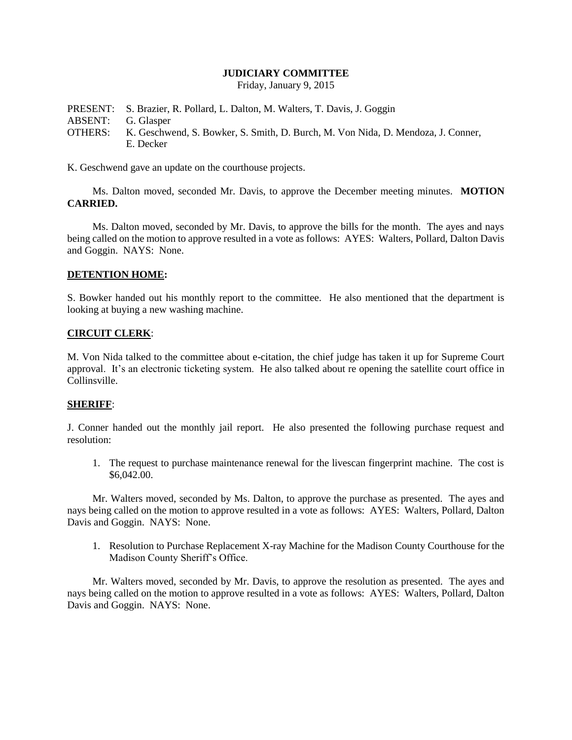## **JUDICIARY COMMITTEE**

Friday, January 9, 2015

PRESENT: S. Brazier, R. Pollard, L. Dalton, M. Walters, T. Davis, J. Goggin ABSENT: G. Glasper OTHERS: K. Geschwend, S. Bowker, S. Smith, D. Burch, M. Von Nida, D. Mendoza, J. Conner, E. Decker

K. Geschwend gave an update on the courthouse projects.

Ms. Dalton moved, seconded Mr. Davis, to approve the December meeting minutes. **MOTION CARRIED.**

Ms. Dalton moved, seconded by Mr. Davis, to approve the bills for the month. The ayes and nays being called on the motion to approve resulted in a vote as follows: AYES: Walters, Pollard, Dalton Davis and Goggin. NAYS: None.

## **DETENTION HOME:**

S. Bowker handed out his monthly report to the committee. He also mentioned that the department is looking at buying a new washing machine.

#### **CIRCUIT CLERK**:

M. Von Nida talked to the committee about e-citation, the chief judge has taken it up for Supreme Court approval. It's an electronic ticketing system. He also talked about re opening the satellite court office in Collinsville.

# **SHERIFF**:

J. Conner handed out the monthly jail report. He also presented the following purchase request and resolution:

1. The request to purchase maintenance renewal for the livescan fingerprint machine. The cost is \$6,042.00.

Mr. Walters moved, seconded by Ms. Dalton, to approve the purchase as presented. The ayes and nays being called on the motion to approve resulted in a vote as follows: AYES: Walters, Pollard, Dalton Davis and Goggin. NAYS: None.

1. Resolution to Purchase Replacement X-ray Machine for the Madison County Courthouse for the Madison County Sheriff's Office.

Mr. Walters moved, seconded by Mr. Davis, to approve the resolution as presented. The ayes and nays being called on the motion to approve resulted in a vote as follows: AYES: Walters, Pollard, Dalton Davis and Goggin. NAYS: None.